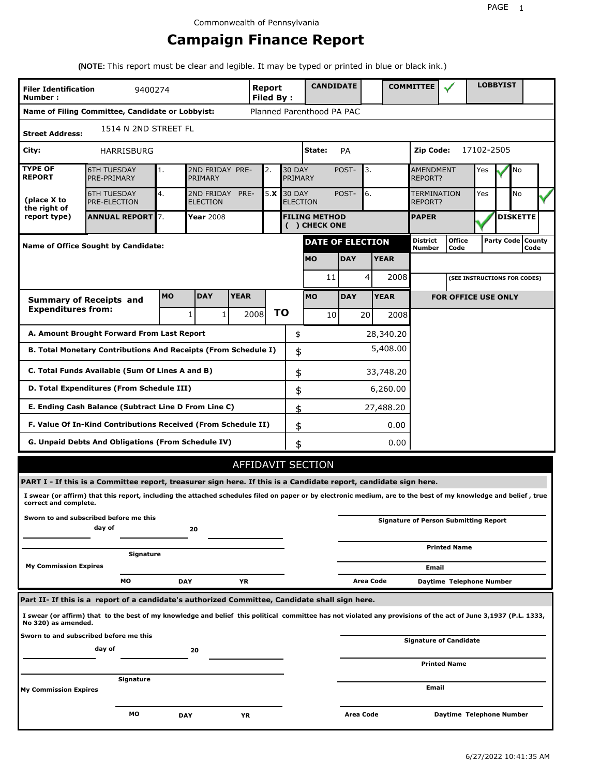# **Campaign Finance Report**

**(NOTE:** This report must be clear and legible. It may be typed or printed in blue or black ink.)

| <b>Filer Identification</b><br>Number:                             |                                                                                                                                                                 | 9400274   |                               |              | Report<br><b>Filed By:</b> |           |                                  | <b>CANDIDATE</b>                      |                         |              |             | <b>COMMITTEE</b>                   |                                              |            | <b>LOBBYIST</b> |                             |  |
|--------------------------------------------------------------------|-----------------------------------------------------------------------------------------------------------------------------------------------------------------|-----------|-------------------------------|--------------|----------------------------|-----------|----------------------------------|---------------------------------------|-------------------------|--------------|-------------|------------------------------------|----------------------------------------------|------------|-----------------|-----------------------------|--|
|                                                                    | Name of Filing Committee, Candidate or Lobbyist:                                                                                                                |           |                               |              | Planned Parenthood PA PAC  |           |                                  |                                       |                         |              |             |                                    |                                              |            |                 |                             |  |
| <b>Street Address:</b>                                             | 1514 N 2ND STREET FL                                                                                                                                            |           |                               |              |                            |           |                                  |                                       |                         |              |             |                                    |                                              |            |                 |                             |  |
| City:                                                              | HARRISBURG                                                                                                                                                      |           |                               |              |                            |           |                                  | State:                                | PA                      |              |             | Zip Code:                          |                                              | 17102-2505 |                 |                             |  |
| <b>TYPE OF</b><br><b>REPORT</b>                                    | <b>6TH TUESDAY</b><br>PRE-PRIMARY                                                                                                                               | 1.        | 2ND FRIDAY PRE-<br>PRIMARY    |              | 2.                         |           | <b>30 DAY</b><br>PRIMARY         |                                       | POST-                   | 3.           |             | <b>AMENDMENT</b><br><b>REPORT?</b> |                                              | Yes        |                 | No                          |  |
| (place X to<br>the right of                                        | <b>6TH TUESDAY</b><br>PRE-ELECTION                                                                                                                              | 4.        | 2ND FRIDAY<br><b>ELECTION</b> | PRE-         | 5.X                        |           | <b>30 DAY</b><br><b>ELECTION</b> |                                       | POST-                   | 6.           |             | <b>TERMINATION</b><br>REPORT?      |                                              | Yes        |                 | No                          |  |
| report type)                                                       | <b>ANNUAL REPORT 7.</b>                                                                                                                                         |           | Year 2008                     |              |                            |           |                                  | <b>FILING METHOD</b><br>( ) CHECK ONE |                         | <b>PAPER</b> |             |                                    |                                              |            |                 | <b>DISKETTE</b>             |  |
|                                                                    | <b>Name of Office Sought by Candidate:</b>                                                                                                                      |           |                               |              |                            |           |                                  |                                       | <b>DATE OF ELECTION</b> |              |             | <b>District</b><br>Number          | <b>Office</b><br>Code                        |            |                 | Party Code   County<br>Code |  |
|                                                                    |                                                                                                                                                                 |           |                               |              |                            |           | <b>MO</b>                        |                                       | <b>DAY</b>              |              | <b>YEAR</b> |                                    |                                              |            |                 |                             |  |
|                                                                    |                                                                                                                                                                 |           |                               |              |                            |           |                                  | 11                                    |                         | 4            | 2008        |                                    | (SEE INSTRUCTIONS FOR CODES)                 |            |                 |                             |  |
|                                                                    | <b>Summary of Receipts and</b>                                                                                                                                  | <b>MO</b> | <b>DAY</b>                    | <b>YEAR</b>  |                            |           | <b>MO</b>                        |                                       | <b>DAY</b>              |              | <b>YEAR</b> |                                    | <b>FOR OFFICE USE ONLY</b>                   |            |                 |                             |  |
| <b>Expenditures from:</b>                                          |                                                                                                                                                                 |           | 1                             | $\mathbf{1}$ | 2008                       | <b>TO</b> |                                  | 10                                    |                         | 20           | 2008        |                                    |                                              |            |                 |                             |  |
|                                                                    | A. Amount Brought Forward From Last Report                                                                                                                      |           |                               |              |                            |           | \$                               |                                       |                         |              | 28,340.20   |                                    |                                              |            |                 |                             |  |
|                                                                    | B. Total Monetary Contributions And Receipts (From Schedule I)                                                                                                  |           |                               |              |                            |           | \$                               |                                       |                         |              | 5,408.00    |                                    |                                              |            |                 |                             |  |
| C. Total Funds Available (Sum Of Lines A and B)<br>\$<br>33,748.20 |                                                                                                                                                                 |           |                               |              |                            |           |                                  |                                       |                         |              |             |                                    |                                              |            |                 |                             |  |
|                                                                    | D. Total Expenditures (From Schedule III)                                                                                                                       |           |                               |              |                            |           | \$                               |                                       |                         |              | 6,260.00    |                                    |                                              |            |                 |                             |  |
|                                                                    | E. Ending Cash Balance (Subtract Line D From Line C)                                                                                                            |           |                               |              |                            |           | \$                               |                                       |                         |              | 27,488.20   |                                    |                                              |            |                 |                             |  |
|                                                                    | F. Value Of In-Kind Contributions Received (From Schedule II)                                                                                                   |           |                               |              |                            |           | \$                               |                                       |                         |              | 0.00        |                                    |                                              |            |                 |                             |  |
|                                                                    | <b>G. Unpaid Debts And Obligations (From Schedule IV)</b>                                                                                                       |           |                               |              |                            |           | \$                               |                                       |                         |              | 0.00        |                                    |                                              |            |                 |                             |  |
|                                                                    |                                                                                                                                                                 |           |                               |              | <b>AFFIDAVIT SECTION</b>   |           |                                  |                                       |                         |              |             |                                    |                                              |            |                 |                             |  |
|                                                                    | PART I - If this is a Committee report, treasurer sign here. If this is a Candidate report, candidate sign here.                                                |           |                               |              |                            |           |                                  |                                       |                         |              |             |                                    |                                              |            |                 |                             |  |
| correct and complete.                                              | I swear (or affirm) that this report, including the attached schedules filed on paper or by electronic medium, are to the best of my knowledge and belief, true |           |                               |              |                            |           |                                  |                                       |                         |              |             |                                    |                                              |            |                 |                             |  |
|                                                                    | Sworn to and subscribed before me this<br>day of                                                                                                                |           | 20                            |              |                            |           |                                  |                                       |                         |              |             |                                    | <b>Signature of Person Submitting Report</b> |            |                 |                             |  |
|                                                                    | Signature                                                                                                                                                       |           |                               |              |                            |           |                                  |                                       |                         |              |             |                                    | <b>Printed Name</b>                          |            |                 |                             |  |
| <b>My Commission Expires</b>                                       |                                                                                                                                                                 |           |                               |              |                            |           |                                  |                                       |                         |              |             | Email                              |                                              |            |                 |                             |  |
|                                                                    | мо                                                                                                                                                              |           | <b>DAY</b>                    | YR           |                            |           |                                  |                                       |                         | Area Code    |             |                                    | Daytime Telephone Number                     |            |                 |                             |  |
|                                                                    | Part II- If this is a report of a candidate's authorized Committee, Candidate shall sign here.                                                                  |           |                               |              |                            |           |                                  |                                       |                         |              |             |                                    |                                              |            |                 |                             |  |
| No 320) as amended.                                                | I swear (or affirm) that to the best of my knowledge and belief this political committee has not violated any provisions of the act of June 3,1937 (P.L. 1333,  |           |                               |              |                            |           |                                  |                                       |                         |              |             |                                    |                                              |            |                 |                             |  |
|                                                                    | Sworn to and subscribed before me this                                                                                                                          |           |                               |              |                            |           |                                  |                                       |                         |              |             |                                    | Signature of Candidate                       |            |                 |                             |  |
|                                                                    | day of                                                                                                                                                          |           | 20                            |              |                            |           |                                  |                                       |                         |              |             |                                    | <b>Printed Name</b>                          |            |                 |                             |  |
|                                                                    | Signature                                                                                                                                                       |           |                               |              |                            |           |                                  |                                       |                         |              |             |                                    |                                              |            |                 |                             |  |
| <b>My Commission Expires</b>                                       |                                                                                                                                                                 |           |                               |              |                            |           |                                  |                                       |                         |              |             | Email                              |                                              |            |                 |                             |  |
|                                                                    | МO                                                                                                                                                              |           | <b>DAY</b>                    | ΥR           |                            |           |                                  |                                       | Area Code               |              |             |                                    | Daytime Telephone Number                     |            |                 |                             |  |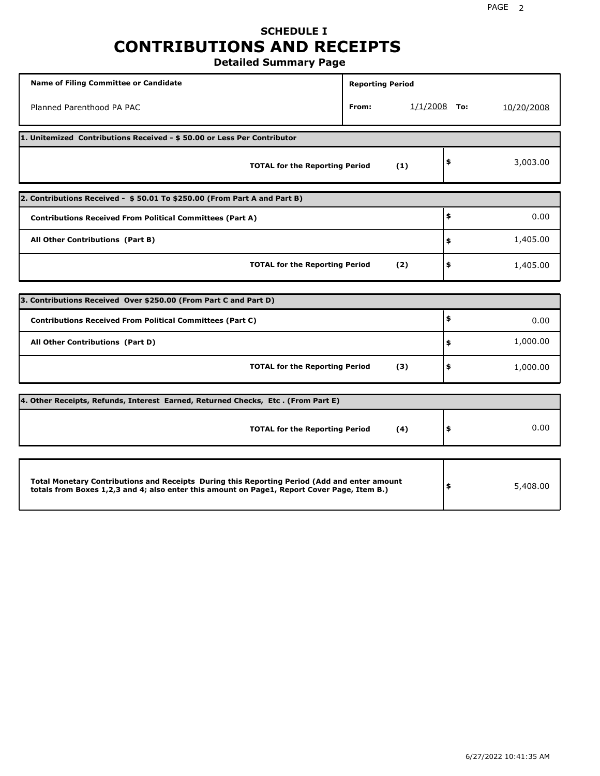### **SCHEDULE I CONTRIBUTIONS AND RECEIPTS Detailed Summary Page**

| <b>Name of Filing Committee or Candidate</b>                                                                                                                                                | <b>Reporting Period</b> |                |                |
|---------------------------------------------------------------------------------------------------------------------------------------------------------------------------------------------|-------------------------|----------------|----------------|
| Planned Parenthood PA PAC                                                                                                                                                                   | From:                   | $1/1/2008$ To: | 10/20/2008     |
| 1. Unitemized Contributions Received - \$50.00 or Less Per Contributor                                                                                                                      |                         |                |                |
| <b>TOTAL for the Reporting Period</b>                                                                                                                                                       |                         | (1)            | \$<br>3,003.00 |
| 2. Contributions Received - \$50.01 To \$250.00 (From Part A and Part B)                                                                                                                    |                         |                |                |
| <b>Contributions Received From Political Committees (Part A)</b>                                                                                                                            |                         |                | \$<br>0.00     |
| All Other Contributions (Part B)                                                                                                                                                            |                         |                | \$<br>1,405.00 |
| <b>TOTAL for the Reporting Period</b>                                                                                                                                                       |                         | (2)            | \$<br>1,405.00 |
| 3. Contributions Received Over \$250.00 (From Part C and Part D)                                                                                                                            |                         |                |                |
| <b>Contributions Received From Political Committees (Part C)</b>                                                                                                                            |                         |                | \$<br>0.00     |
| All Other Contributions (Part D)                                                                                                                                                            |                         |                | \$<br>1,000.00 |
| <b>TOTAL for the Reporting Period</b>                                                                                                                                                       |                         | (3)            | \$<br>1,000.00 |
| 4. Other Receipts, Refunds, Interest Earned, Returned Checks, Etc. (From Part E)                                                                                                            |                         |                |                |
| <b>TOTAL for the Reporting Period</b>                                                                                                                                                       |                         | (4)            | \$<br>0.00     |
|                                                                                                                                                                                             |                         |                |                |
| Total Monetary Contributions and Receipts During this Reporting Period (Add and enter amount<br>totals from Boxes 1,2,3 and 4; also enter this amount on Page1, Report Cover Page, Item B.) |                         |                | \$<br>5,408.00 |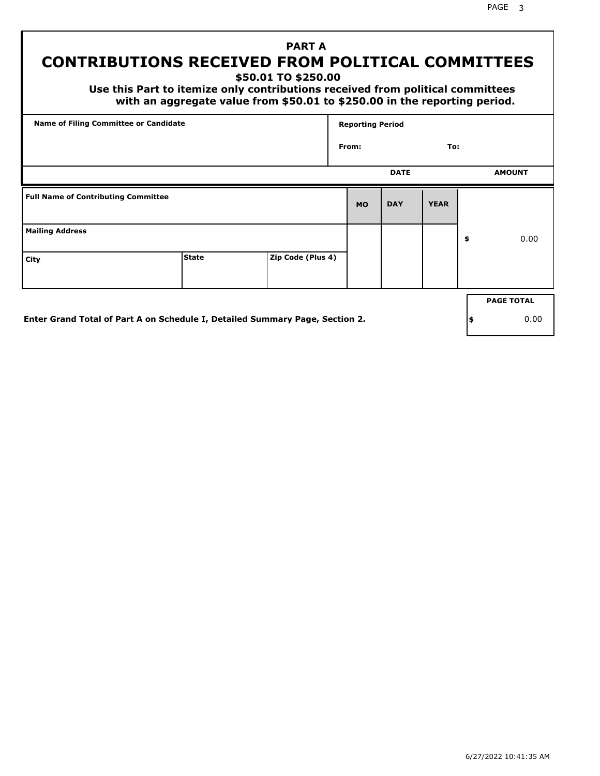PAGE 3

# **PART A CONTRIBUTIONS RECEIVED FROM POLITICAL COMMITTEES**

**\$50.01 TO \$250.00**

 **Use this Part to itemize only contributions received from political committees with an aggregate value from \$50.01 to \$250.00 in the reporting period.**

|                                            | Name of Filing Committee or Candidate |  |           | <b>Reporting Period</b> |             |    |                   |  |  |
|--------------------------------------------|---------------------------------------|--|-----------|-------------------------|-------------|----|-------------------|--|--|
|                                            |                                       |  | From:     |                         | To:         |    |                   |  |  |
|                                            |                                       |  |           | <b>DATE</b>             |             |    | <b>AMOUNT</b>     |  |  |
| <b>Full Name of Contributing Committee</b> |                                       |  | <b>MO</b> | <b>DAY</b>              | <b>YEAR</b> |    |                   |  |  |
| <b>Mailing Address</b>                     |                                       |  |           |                         |             | \$ | 0.00              |  |  |
| City                                       | Zip Code (Plus 4)                     |  |           |                         |             |    |                   |  |  |
|                                            |                                       |  |           |                         |             |    | <b>PAGE TOTAL</b> |  |  |

**Enter Grand Total of Part A on Schedule I, Detailed Summary Page, Section 2.**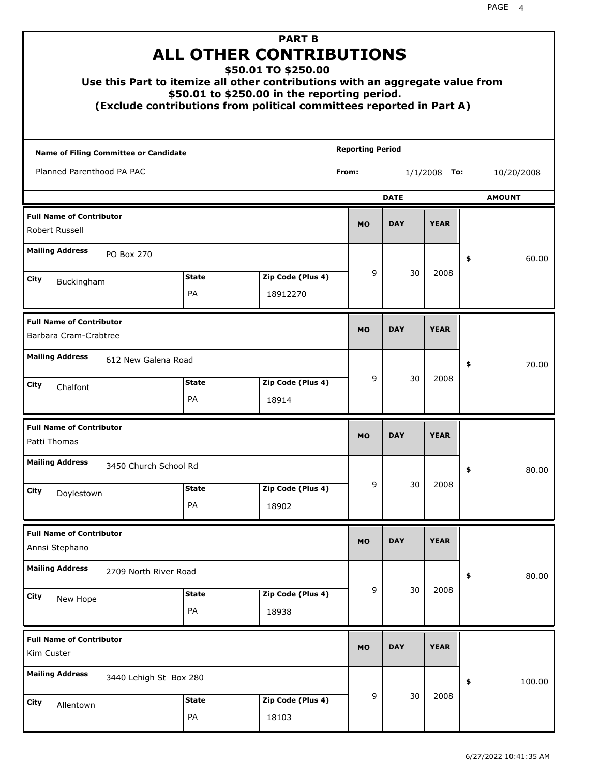|                                                          | Use this Part to itemize all other contributions with an aggregate value from<br>(Exclude contributions from political committees reported in Part A) |  | <b>PART B</b><br><b>ALL OTHER CONTRIBUTIONS</b><br>\$50.01 TO \$250.00<br>\$50.01 to \$250.00 in the reporting period. |                         |                |             |             |        |               |
|----------------------------------------------------------|-------------------------------------------------------------------------------------------------------------------------------------------------------|--|------------------------------------------------------------------------------------------------------------------------|-------------------------|----------------|-------------|-------------|--------|---------------|
| Name of Filing Committee or Candidate                    |                                                                                                                                                       |  |                                                                                                                        | <b>Reporting Period</b> |                |             |             |        |               |
| Planned Parenthood PA PAC                                |                                                                                                                                                       |  |                                                                                                                        | From:                   | $1/1/2008$ To: |             |             |        | 10/20/2008    |
|                                                          |                                                                                                                                                       |  |                                                                                                                        |                         |                | <b>DATE</b> |             |        | <b>AMOUNT</b> |
| <b>Full Name of Contributor</b><br>Robert Russell        |                                                                                                                                                       |  |                                                                                                                        |                         | <b>MO</b>      | <b>DAY</b>  | <b>YEAR</b> |        |               |
| <b>Mailing Address</b><br>PO Box 270                     |                                                                                                                                                       |  |                                                                                                                        |                         |                |             |             | \$     | 60.00         |
| City<br>Buckingham                                       | <b>State</b>                                                                                                                                          |  | Zip Code (Plus 4)                                                                                                      |                         | 9              | 30          | 2008        |        |               |
|                                                          | PA                                                                                                                                                    |  | 18912270                                                                                                               |                         |                |             |             |        |               |
| <b>Full Name of Contributor</b><br>Barbara Cram-Crabtree |                                                                                                                                                       |  |                                                                                                                        |                         | <b>MO</b>      | <b>DAY</b>  | <b>YEAR</b> |        |               |
| <b>Mailing Address</b><br>612 New Galena Road            |                                                                                                                                                       |  |                                                                                                                        |                         |                |             |             | \$     | 70.00         |
| City<br>Chalfont                                         | <b>State</b><br>PA                                                                                                                                    |  | Zip Code (Plus 4)<br>18914                                                                                             |                         | 9              | 30          | 2008        |        |               |
| <b>Full Name of Contributor</b><br>Patti Thomas          |                                                                                                                                                       |  |                                                                                                                        |                         | <b>MO</b>      | <b>DAY</b>  | <b>YEAR</b> |        |               |
| <b>Mailing Address</b>                                   | 3450 Church School Rd                                                                                                                                 |  |                                                                                                                        |                         |                |             |             | ≯      | 80.00         |
| City<br>Doylestown                                       | <b>State</b><br>PA                                                                                                                                    |  | Zip Code (Plus 4)<br>18902                                                                                             |                         | 9              | 30          | 2008        |        |               |
|                                                          |                                                                                                                                                       |  |                                                                                                                        |                         |                |             |             |        |               |
| <b>Full Name of Contributor</b><br>Annsi Stephano        |                                                                                                                                                       |  |                                                                                                                        |                         | <b>MO</b>      | <b>DAY</b>  | <b>YEAR</b> |        |               |
| <b>Mailing Address</b>                                   | 2709 North River Road                                                                                                                                 |  |                                                                                                                        |                         |                |             |             | \$     | 80.00         |
| City<br>New Hope                                         | <b>State</b><br>PA                                                                                                                                    |  | Zip Code (Plus 4)<br>18938                                                                                             |                         | 9              | 30          | 2008        |        |               |
| <b>Full Name of Contributor</b><br>Kim Custer            |                                                                                                                                                       |  |                                                                                                                        | <b>MO</b>               | <b>DAY</b>     | <b>YEAR</b> |             |        |               |
| <b>Mailing Address</b><br>3440 Lehigh St Box 280         |                                                                                                                                                       |  |                                                                                                                        |                         |                |             | \$          | 100.00 |               |
| City<br>Allentown                                        | <b>State</b><br>PA                                                                                                                                    |  | Zip Code (Plus 4)<br>18103                                                                                             |                         | 9              | 30          | 2008        |        |               |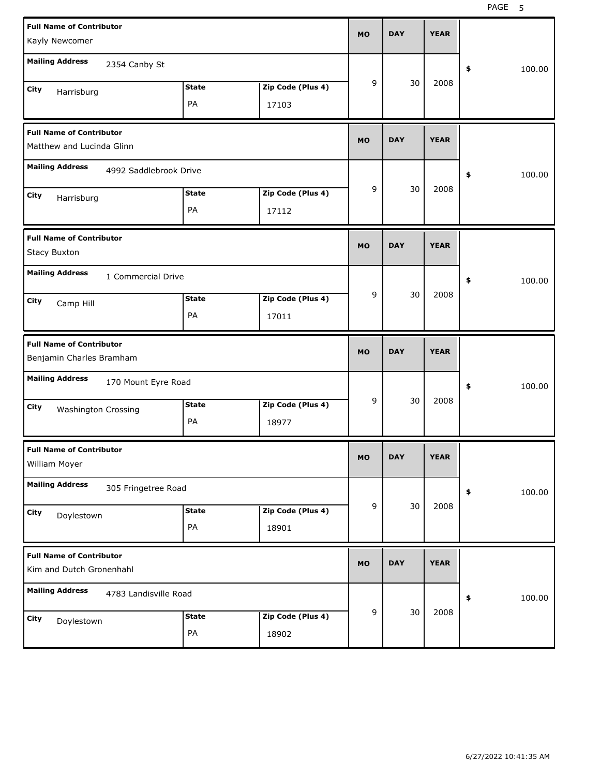| Kayly Newcomer                                               | <b>Full Name of Contributor</b> |                    |                            |           |            | <b>YEAR</b> |              |
|--------------------------------------------------------------|---------------------------------|--------------------|----------------------------|-----------|------------|-------------|--------------|
| <b>Mailing Address</b>                                       | 2354 Canby St                   |                    |                            |           |            |             | 100.00<br>\$ |
| City<br>Harrisburg                                           |                                 | <b>State</b><br>PA | Zip Code (Plus 4)<br>17103 | 9         | 30         | 2008        |              |
| <b>Full Name of Contributor</b><br>Matthew and Lucinda Glinn |                                 |                    |                            | <b>MO</b> | <b>DAY</b> | <b>YEAR</b> |              |
| <b>Mailing Address</b>                                       | 4992 Saddlebrook Drive          |                    |                            |           |            |             | \$<br>100.00 |
| City<br>Harrisburg                                           |                                 | <b>State</b><br>PA | Zip Code (Plus 4)<br>17112 | 9         | 30         | 2008        |              |
| <b>Full Name of Contributor</b><br><b>Stacy Buxton</b>       | <b>MO</b>                       | <b>DAY</b>         | <b>YEAR</b>                |           |            |             |              |
| <b>Mailing Address</b><br>City<br>Camp Hill                  | 1 Commercial Drive              | <b>State</b><br>PA | Zip Code (Plus 4)<br>17011 | 9         | 30         | 2008        | \$<br>100.00 |
| <b>Full Name of Contributor</b><br>Benjamin Charles Bramham  |                                 |                    |                            |           |            |             |              |
|                                                              |                                 |                    |                            | <b>MO</b> | <b>DAY</b> | <b>YEAR</b> |              |
| <b>Mailing Address</b><br>City<br><b>Washington Crossing</b> | 170 Mount Eyre Road             | <b>State</b><br>PA | Zip Code (Plus 4)<br>18977 | 9         | 30         | 2008        | \$<br>100.00 |
| <b>Full Name of Contributor</b><br>William Moyer             |                                 |                    |                            | MO        | <b>DAY</b> | <b>YEAR</b> |              |
| <b>Mailing Address</b><br>City<br>Doylestown                 | 305 Fringetree Road             | <b>State</b><br>PA | Zip Code (Plus 4)<br>18901 | 9         | 30         | 2008        | 100.00<br>\$ |
| <b>Full Name of Contributor</b><br>Kim and Dutch Gronenhahl  |                                 |                    |                            | <b>MO</b> | <b>DAY</b> | <b>YEAR</b> |              |
| <b>Mailing Address</b>                                       | 4783 Landisville Road           |                    |                            | 9         | 30         | 2008        | 100.00<br>\$ |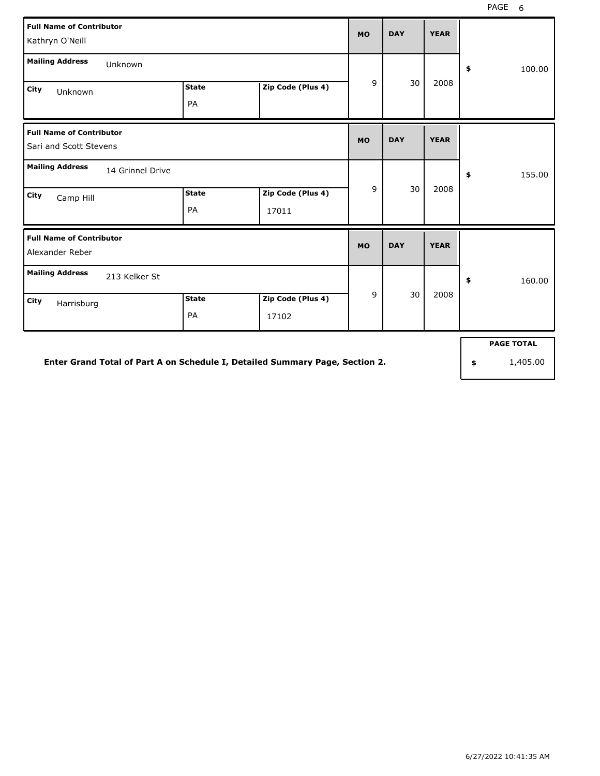| <b>Full Name of Contributor</b><br>Kathryn O'Neill        |                    |                            |             |              |                   |              |
|-----------------------------------------------------------|--------------------|----------------------------|-------------|--------------|-------------------|--------------|
| <b>Mailing Address</b><br>Unknown                         |                    |                            |             |              |                   | 100.00<br>\$ |
| City<br>Unknown                                           | <b>State</b><br>PA | Zip Code (Plus 4)          | 9           | 30           | 2008              |              |
| <b>Full Name of Contributor</b><br>Sari and Scott Stevens | <b>MO</b>          | <b>DAY</b>                 | <b>YEAR</b> |              |                   |              |
| <b>Mailing Address</b><br>14 Grinnel Drive                |                    |                            |             | 155.00<br>\$ |                   |              |
| City<br>Camp Hill                                         | <b>State</b><br>PA | Zip Code (Plus 4)<br>17011 | 9           | 30           | 2008              |              |
| <b>Full Name of Contributor</b><br>Alexander Reber        |                    |                            | <b>MO</b>   | <b>DAY</b>   | <b>YEAR</b>       |              |
| <b>Mailing Address</b><br>213 Kelker St                   |                    |                            |             |              | \$<br>160.00      |              |
| <b>City</b><br>Harrisburg                                 | <b>State</b><br>PA | Zip Code (Plus 4)<br>17102 | 9           | 30           | 2008              |              |
|                                                           |                    |                            |             |              | <b>PAGE TOTAL</b> |              |

**Enter Grand Total of Part A on Schedule I, Detailed Summary Page, Section 2.**

**\$** 1,405.00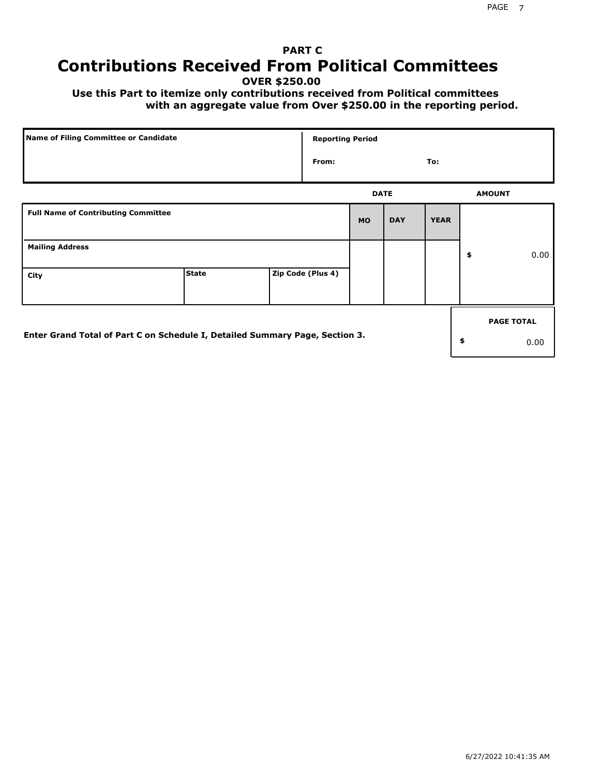# **PART C Contributions Received From Political Committees**

**OVER \$250.00**

 **Use this Part to itemize only contributions received from Political committees with an aggregate value from Over \$250.00 in the reporting period.**

| Name of Filing Committee or Candidate                                        |              | <b>Reporting Period</b> |             |            |             |                   |
|------------------------------------------------------------------------------|--------------|-------------------------|-------------|------------|-------------|-------------------|
|                                                                              |              | From:                   |             |            | To:         |                   |
|                                                                              |              |                         | <b>DATE</b> |            |             | <b>AMOUNT</b>     |
| <b>Full Name of Contributing Committee</b>                                   |              |                         | <b>MO</b>   | <b>DAY</b> | <b>YEAR</b> |                   |
| <b>Mailing Address</b>                                                       |              |                         |             |            |             | \$<br>0.00        |
| City                                                                         | <b>State</b> | Zip Code (Plus 4)       |             |            |             |                   |
|                                                                              |              |                         |             |            |             | <b>PAGE TOTAL</b> |
| Enter Grand Total of Part C on Schedule I, Detailed Summary Page, Section 3. |              |                         |             |            |             | \$<br>0.00        |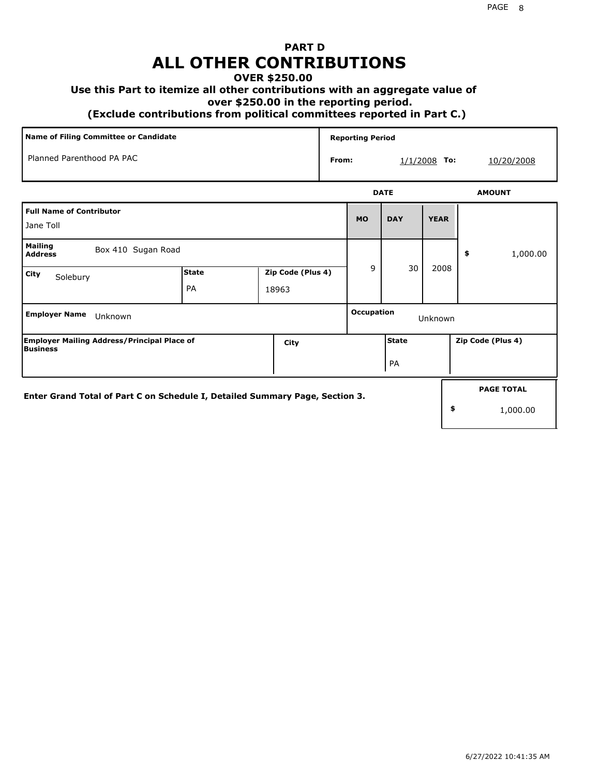## **PART D ALL OTHER CONTRIBUTIONS**

### **OVER \$250.00**

#### **Use this Part to itemize all other contributions with an aggregate value of**

 **over \$250.00 in the reporting period.**

 **(Exclude contributions from political committees reported in Part C.)** 

| Name of Filing Committee or Candidate                                        |                                   |       |                         | <b>Reporting Period</b>      |              |             |                   |  |
|------------------------------------------------------------------------------|-----------------------------------|-------|-------------------------|------------------------------|--------------|-------------|-------------------|--|
| Planned Parenthood PA PAC                                                    |                                   |       | From:<br>$1/1/2008$ To: |                              |              |             | 10/20/2008        |  |
|                                                                              |                                   |       | <b>DATE</b>             |                              |              |             | <b>AMOUNT</b>     |  |
| <b>Full Name of Contributor</b>                                              |                                   |       |                         | <b>MO</b>                    | <b>DAY</b>   | <b>YEAR</b> |                   |  |
| Jane Toll                                                                    |                                   |       |                         |                              |              |             |                   |  |
| <b>Mailing</b><br>Box 410 Sugan Road<br><b>Address</b>                       |                                   |       |                         |                              |              |             | 1,000.00<br>\$    |  |
| <b>City</b><br>Solebury                                                      | <b>State</b><br>Zip Code (Plus 4) |       |                         | 9                            | 30           | 2008        |                   |  |
|                                                                              | PA                                | 18963 |                         |                              |              |             |                   |  |
| <b>Employer Name</b><br>Unknown                                              |                                   |       |                         | <b>Occupation</b><br>Unknown |              |             |                   |  |
| <b>Employer Mailing Address/Principal Place of</b><br><b>Business</b>        |                                   | City  |                         |                              | <b>State</b> |             | Zip Code (Plus 4) |  |
|                                                                              |                                   |       | PA                      |                              |              |             |                   |  |
| Enter Grand Total of Part C on Schedule I, Detailed Summary Page, Section 3. |                                   |       |                         |                              |              |             | <b>PAGE TOTAL</b> |  |
|                                                                              |                                   |       |                         |                              |              | \$          | 1,000.00          |  |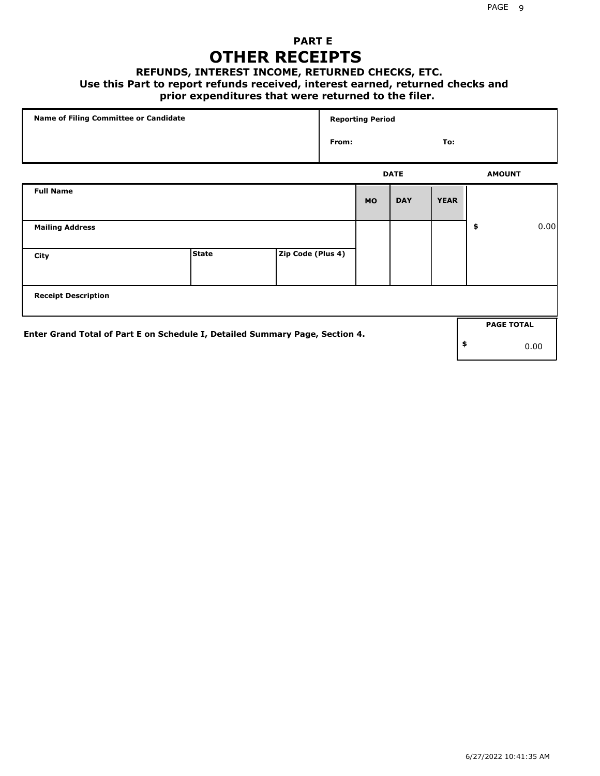### **PART E OTHER RECEIPTS**

#### **REFUNDS, INTEREST INCOME, RETURNED CHECKS, ETC.**

 **Use this Part to report refunds received, interest earned, returned checks and**

### **prior expenditures that were returned to the filer.**

| Name of Filing Committee or Candidate                                        |              |                   |       | <b>Reporting Period</b> |             |             |    |                   |      |
|------------------------------------------------------------------------------|--------------|-------------------|-------|-------------------------|-------------|-------------|----|-------------------|------|
|                                                                              |              |                   | From: |                         |             | To:         |    |                   |      |
|                                                                              |              |                   |       |                         | <b>DATE</b> |             |    | <b>AMOUNT</b>     |      |
| <b>Full Name</b>                                                             |              |                   |       | <b>MO</b>               | <b>DAY</b>  | <b>YEAR</b> |    |                   |      |
| <b>Mailing Address</b>                                                       |              |                   |       |                         |             |             | \$ |                   | 0.00 |
| City                                                                         | <b>State</b> | Zip Code (Plus 4) |       |                         |             |             |    |                   |      |
| <b>Receipt Description</b>                                                   |              |                   |       |                         |             |             |    |                   |      |
|                                                                              |              |                   |       |                         |             |             |    | <b>PAGE TOTAL</b> |      |
| Enter Grand Total of Part E on Schedule I, Detailed Summary Page, Section 4. |              |                   |       |                         |             |             | \$ |                   | 0.00 |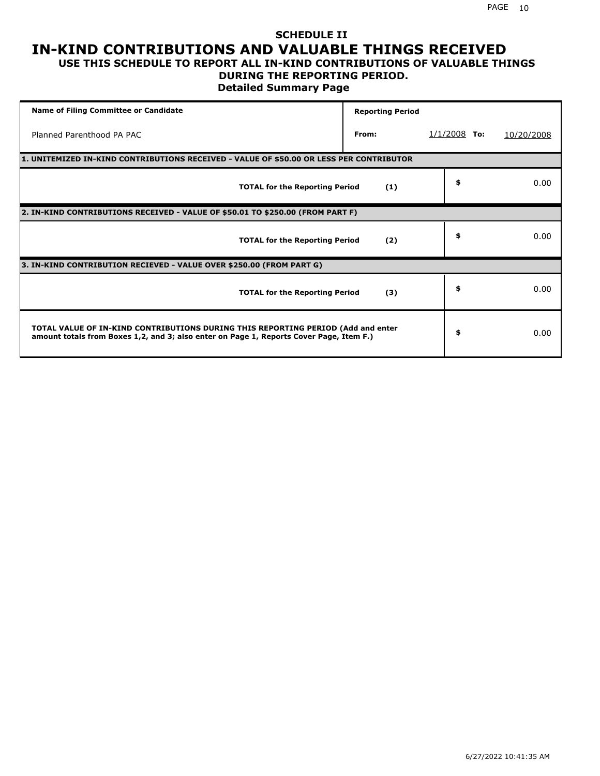# **SCHEDULE II IN-KIND CONTRIBUTIONS AND VALUABLE THINGS RECEIVED**

#### **USE THIS SCHEDULE TO REPORT ALL IN-KIND CONTRIBUTIONS OF VALUABLE THINGS DURING THE REPORTING PERIOD.**

**Detailed Summary Page**

| <b>Name of Filing Committee or Candidate</b>                                                                                                                                | <b>Reporting Period</b> |                |            |  |  |  |  |  |  |
|-----------------------------------------------------------------------------------------------------------------------------------------------------------------------------|-------------------------|----------------|------------|--|--|--|--|--|--|
| Planned Parenthood PA PAC                                                                                                                                                   | From:                   | $1/1/2008$ To: | 10/20/2008 |  |  |  |  |  |  |
| 1. UNITEMIZED IN-KIND CONTRIBUTIONS RECEIVED - VALUE OF \$50.00 OR LESS PER CONTRIBUTOR                                                                                     |                         |                |            |  |  |  |  |  |  |
| <b>TOTAL for the Reporting Period</b>                                                                                                                                       | (1)                     | \$             | 0.00       |  |  |  |  |  |  |
| 2. IN-KIND CONTRIBUTIONS RECEIVED - VALUE OF \$50.01 TO \$250.00 (FROM PART F)                                                                                              |                         |                |            |  |  |  |  |  |  |
| <b>TOTAL for the Reporting Period</b>                                                                                                                                       | (2)                     | \$             | 0.00       |  |  |  |  |  |  |
| 3. IN-KIND CONTRIBUTION RECIEVED - VALUE OVER \$250.00 (FROM PART G)                                                                                                        |                         |                |            |  |  |  |  |  |  |
| <b>TOTAL for the Reporting Period</b>                                                                                                                                       | (3)                     | \$             | 0.00       |  |  |  |  |  |  |
| TOTAL VALUE OF IN-KIND CONTRIBUTIONS DURING THIS REPORTING PERIOD (Add and enter<br>amount totals from Boxes 1,2, and 3; also enter on Page 1, Reports Cover Page, Item F.) |                         | \$             | 0.00       |  |  |  |  |  |  |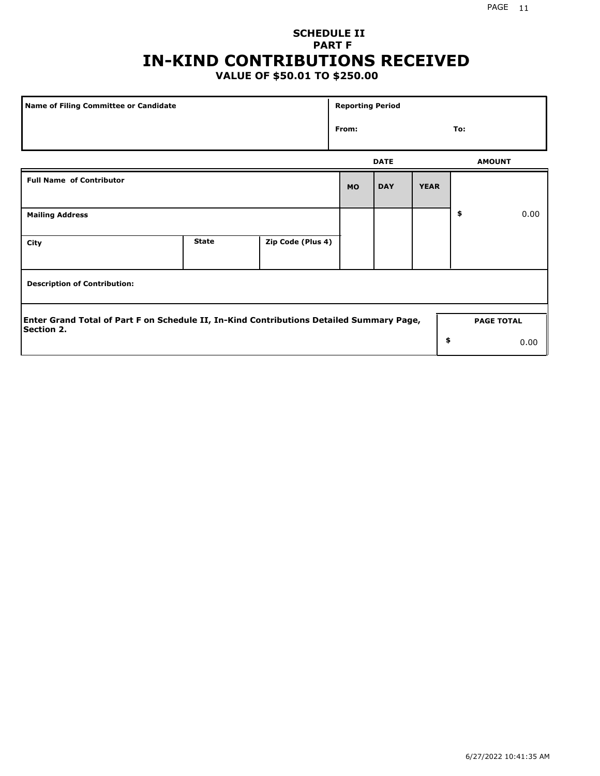## **SCHEDULE II PART F IN-KIND CONTRIBUTIONS RECEIVED**

## **VALUE OF \$50.01 TO \$250.00**

| Name of Filing Committee or Candidate                                                    |              |                   | <b>Reporting Period</b> |             |             |     |                   |  |
|------------------------------------------------------------------------------------------|--------------|-------------------|-------------------------|-------------|-------------|-----|-------------------|--|
|                                                                                          |              |                   | From:                   |             |             | To: |                   |  |
|                                                                                          |              |                   |                         | <b>DATE</b> |             |     | <b>AMOUNT</b>     |  |
| <b>Full Name of Contributor</b>                                                          |              |                   | <b>MO</b>               | <b>DAY</b>  | <b>YEAR</b> |     |                   |  |
| <b>Mailing Address</b>                                                                   |              |                   |                         |             |             | \$  | 0.00              |  |
| City                                                                                     | <b>State</b> | Zip Code (Plus 4) |                         |             |             |     |                   |  |
| <b>Description of Contribution:</b>                                                      |              |                   |                         |             |             |     |                   |  |
| Enter Grand Total of Part F on Schedule II, In-Kind Contributions Detailed Summary Page, |              |                   |                         |             |             |     | <b>PAGE TOTAL</b> |  |
| <b>Section 2.</b>                                                                        |              |                   |                         |             | \$          |     | 0.00              |  |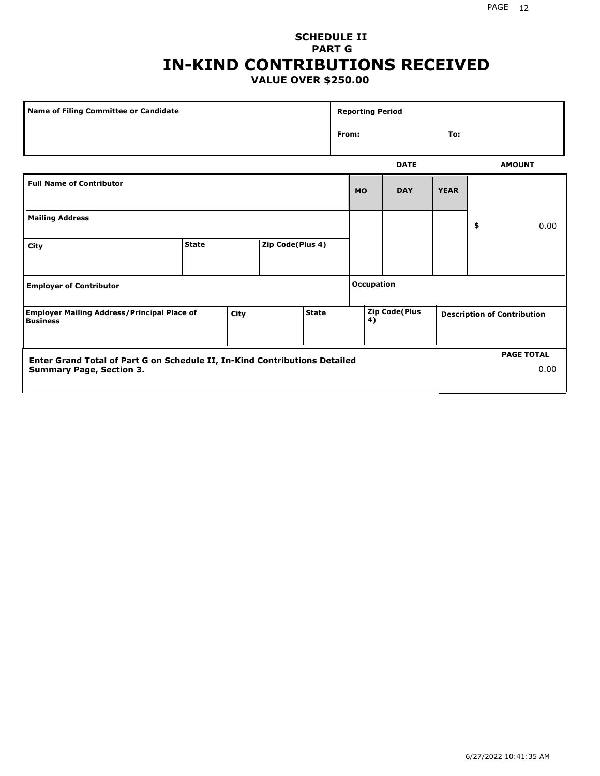#### PAGE 12

### **SCHEDULE II PART G IN-KIND CONTRIBUTIONS RECEIVED VALUE OVER \$250.00**

| <b>Name of Filing Committee or Candidate</b>                                  |              |  |                  |              | <b>Reporting Period</b> |                             |             |             |                                    |               |  |
|-------------------------------------------------------------------------------|--------------|--|------------------|--------------|-------------------------|-----------------------------|-------------|-------------|------------------------------------|---------------|--|
|                                                                               |              |  |                  |              |                         | From:<br>To:                |             |             |                                    |               |  |
|                                                                               |              |  |                  |              |                         |                             | <b>DATE</b> |             |                                    | <b>AMOUNT</b> |  |
| <b>Full Name of Contributor</b>                                               |              |  |                  |              |                         | <b>MO</b>                   | <b>DAY</b>  | <b>YEAR</b> |                                    |               |  |
| <b>Mailing Address</b>                                                        |              |  |                  |              |                         |                             |             |             | \$                                 | 0.00          |  |
| City                                                                          | <b>State</b> |  | Zip Code(Plus 4) |              |                         |                             |             |             |                                    |               |  |
| <b>Employer of Contributor</b>                                                |              |  |                  |              |                         | <b>Occupation</b>           |             |             |                                    |               |  |
| <b>Employer Mailing Address/Principal Place of</b><br>City<br><b>Business</b> |              |  |                  | <b>State</b> |                         | <b>Zip Code(Plus</b><br> 4) |             |             | <b>Description of Contribution</b> |               |  |

| <b>Enter Grand Total of Part G on Schedule II, In-Kind Contributions Detailed</b> | <b>PAGE TOTAL</b> |
|-----------------------------------------------------------------------------------|-------------------|
| <b>Summary Page, Section 3.</b>                                                   | 0.00              |
|                                                                                   |                   |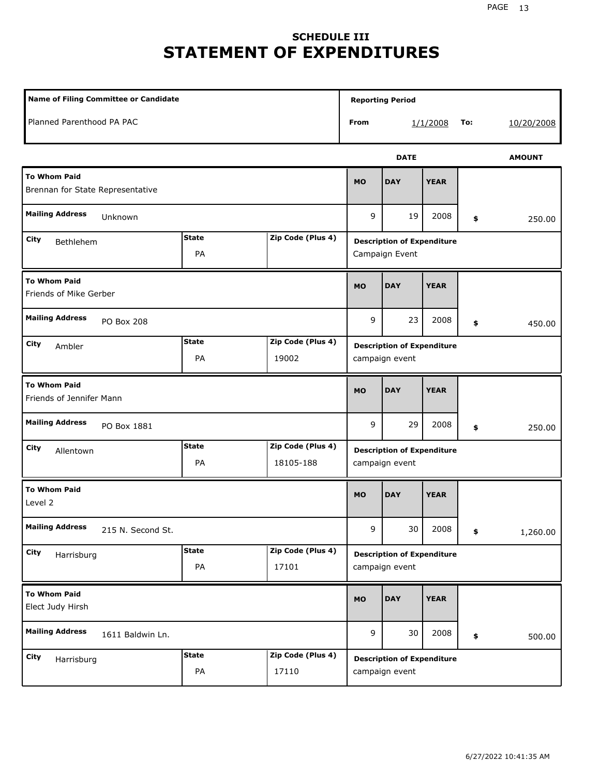# **SCHEDULE III STATEMENT OF EXPENDITURES**

| <b>Name of Filing Committee or Candidate</b>            |                    | <b>Reporting Period</b>        |                                                     |             |             |            |               |
|---------------------------------------------------------|--------------------|--------------------------------|-----------------------------------------------------|-------------|-------------|------------|---------------|
| Planned Parenthood PA PAC                               |                    | From                           |                                                     | 1/1/2008    | To:         | 10/20/2008 |               |
|                                                         |                    |                                |                                                     | <b>DATE</b> |             |            | <b>AMOUNT</b> |
| <b>To Whom Paid</b><br>Brennan for State Representative |                    |                                | <b>MO</b>                                           | <b>DAY</b>  | <b>YEAR</b> |            |               |
| <b>Mailing Address</b><br>Unknown                       |                    |                                | 9                                                   | 19          | 2008        | \$         | 250.00        |
| City<br>Bethlehem                                       | <b>State</b><br>PA | Zip Code (Plus 4)              | <b>Description of Expenditure</b><br>Campaign Event |             |             |            |               |
| <b>To Whom Paid</b><br>Friends of Mike Gerber           |                    |                                | <b>MO</b>                                           | <b>DAY</b>  | <b>YEAR</b> |            |               |
| <b>Mailing Address</b><br>PO Box 208                    |                    |                                | 9                                                   | 23          | 2008        | \$         | 450.00        |
| City<br>Ambler                                          | <b>State</b><br>PA | Zip Code (Plus 4)<br>19002     | <b>Description of Expenditure</b><br>campaign event |             |             |            |               |
| <b>To Whom Paid</b><br>Friends of Jennifer Mann         |                    |                                | <b>MO</b>                                           | <b>DAY</b>  | <b>YEAR</b> |            |               |
| <b>Mailing Address</b><br>PO Box 1881                   |                    |                                | 9                                                   | 29          | 2008        | \$         | 250.00        |
| City<br>Allentown                                       | <b>State</b><br>PA | Zip Code (Plus 4)<br>18105-188 | <b>Description of Expenditure</b><br>campaign event |             |             |            |               |
| <b>To Whom Paid</b><br>Level 2                          |                    |                                | <b>MO</b>                                           | <b>DAY</b>  | <b>YEAR</b> |            |               |
| <b>Mailing Address</b><br>215 N. Second St.             |                    |                                | 9                                                   | 30          | 2008        | \$         | 1,260.00      |
| City<br>Harrisburg                                      | <b>State</b><br>PA | Zip Code (Plus 4)<br>17101     | <b>Description of Expenditure</b><br>campaign event |             |             |            |               |
| <b>To Whom Paid</b><br>Elect Judy Hirsh                 |                    |                                | MO                                                  | <b>DAY</b>  | <b>YEAR</b> |            |               |
| <b>Mailing Address</b><br>1611 Baldwin Ln.              |                    |                                | 9                                                   | 30          | 2008        | \$         | 500.00        |
| City<br>Harrisburg                                      | <b>State</b><br>PA | Zip Code (Plus 4)<br>17110     | <b>Description of Expenditure</b><br>campaign event |             |             |            |               |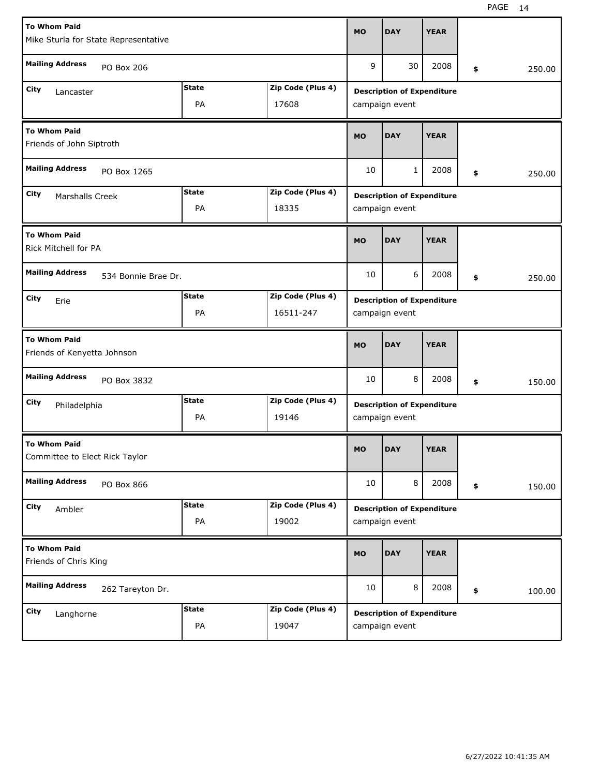| <b>To Whom Paid</b>                                          |              |                   | <b>MO</b>                         | <b>DAY</b>                        | <b>YEAR</b> |    |        |  |
|--------------------------------------------------------------|--------------|-------------------|-----------------------------------|-----------------------------------|-------------|----|--------|--|
| Mike Sturla for State Representative                         |              |                   |                                   |                                   |             |    |        |  |
| <b>Mailing Address</b><br>PO Box 206                         |              |                   | 9                                 | 30                                | 2008        | \$ | 250.00 |  |
| City<br>Lancaster                                            | <b>State</b> | Zip Code (Plus 4) |                                   | <b>Description of Expenditure</b> |             |    |        |  |
| PA<br>17608                                                  |              |                   |                                   | campaign event                    |             |    |        |  |
| To Whom Paid<br>Friends of John Siptroth                     |              |                   | <b>MO</b>                         | <b>DAY</b>                        | <b>YEAR</b> |    |        |  |
| <b>Mailing Address</b><br>PO Box 1265                        |              |                   | 10                                | $\mathbf{1}$                      | 2008        | \$ | 250.00 |  |
| <b>State</b><br>Zip Code (Plus 4)<br>City<br>Marshalls Creek |              |                   | <b>Description of Expenditure</b> |                                   |             |    |        |  |
|                                                              | PA           | 18335             |                                   | campaign event                    |             |    |        |  |
| <b>To Whom Paid</b><br><b>Rick Mitchell for PA</b>           |              |                   | <b>MO</b>                         | <b>DAY</b>                        | <b>YEAR</b> |    |        |  |
| <b>Mailing Address</b><br>534 Bonnie Brae Dr.                |              |                   | 10                                | 6                                 | 2008        | \$ | 250.00 |  |
| City<br>Erie                                                 | <b>State</b> | Zip Code (Plus 4) |                                   | <b>Description of Expenditure</b> |             |    |        |  |
|                                                              | PA           | 16511-247         | campaign event                    |                                   |             |    |        |  |
| <b>To Whom Paid</b><br>Friends of Kenyetta Johnson           |              |                   | <b>MO</b>                         | <b>DAY</b>                        | <b>YEAR</b> |    |        |  |
| <b>Mailing Address</b><br>PO Box 3832                        |              |                   | 10                                | 8                                 | 2008        | \$ | 150.00 |  |
| City<br>Philadelphia                                         | <b>State</b> | Zip Code (Plus 4) | <b>Description of Expenditure</b> |                                   |             |    |        |  |
|                                                              | PA           | 19146             | campaign event                    |                                   |             |    |        |  |
| <b>To Whom Paid</b><br>Committee to Elect Rick Taylor        |              |                   | <b>MO</b>                         | <b>DAY</b>                        | <b>YEAR</b> |    |        |  |
| <b>Mailing Address</b><br>PO Box 866                         |              |                   | 10                                | 8                                 | 2008        | \$ | 150.00 |  |
| City<br>Ambler                                               | <b>State</b> | Zip Code (Plus 4) |                                   | <b>Description of Expenditure</b> |             |    |        |  |
|                                                              | PA           | 19002             | campaign event                    |                                   |             |    |        |  |
| <b>To Whom Paid</b><br>Friends of Chris King                 |              |                   | <b>MO</b>                         | <b>DAY</b>                        | <b>YEAR</b> |    |        |  |
| <b>Mailing Address</b><br>262 Tareyton Dr.                   |              |                   | 10                                | 8                                 | 2008        | \$ | 100.00 |  |
| <b>State</b><br>Zip Code (Plus 4)<br>City<br>Langhorne       |              |                   | <b>Description of Expenditure</b> |                                   |             |    |        |  |
| PA<br>19047                                                  |              |                   |                                   | campaign event                    |             |    |        |  |

H